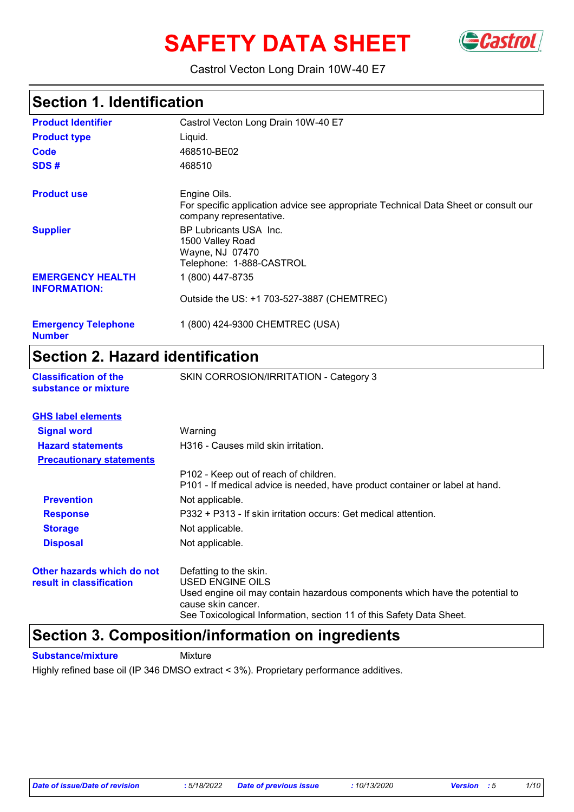# **SAFETY DATA SHEET** GCastrol



### Castrol Vecton Long Drain 10W-40 E7

### **Section 1. Identification**

| <b>Product Identifier</b>                      | Castrol Vecton Long Drain 10W-40 E7                                                                                            |
|------------------------------------------------|--------------------------------------------------------------------------------------------------------------------------------|
| <b>Product type</b>                            | Liquid.                                                                                                                        |
| Code                                           | 468510-BE02                                                                                                                    |
| SDS#                                           | 468510                                                                                                                         |
| <b>Product use</b>                             | Engine Oils.<br>For specific application advice see appropriate Technical Data Sheet or consult our<br>company representative. |
| <b>Supplier</b>                                | BP Lubricants USA Inc.<br>1500 Valley Road<br>Wayne, NJ 07470<br>Telephone: 1-888-CASTROL                                      |
| <b>EMERGENCY HEALTH</b><br><b>INFORMATION:</b> | 1 (800) 447-8735                                                                                                               |
|                                                | Outside the US: +1 703-527-3887 (CHEMTREC)                                                                                     |
| <b>Emergency Telephone</b><br><b>Number</b>    | 1 (800) 424-9300 CHEMTREC (USA)                                                                                                |

### **Section 2. Hazard identification**

| <b>Classification of the</b> |  |
|------------------------------|--|
| substance or mixture         |  |

**SKIN CORROSION/IRRITATION - Category 3** 

| <b>GHS label elements</b>                              |                                                                                                                                                                                                                          |
|--------------------------------------------------------|--------------------------------------------------------------------------------------------------------------------------------------------------------------------------------------------------------------------------|
| <b>Signal word</b>                                     | Warning                                                                                                                                                                                                                  |
| <b>Hazard statements</b>                               | H316 - Causes mild skin irritation.                                                                                                                                                                                      |
| <b>Precautionary statements</b>                        |                                                                                                                                                                                                                          |
|                                                        | P102 - Keep out of reach of children.<br>P101 - If medical advice is needed, have product container or label at hand.                                                                                                    |
| <b>Prevention</b>                                      | Not applicable.                                                                                                                                                                                                          |
| <b>Response</b>                                        | P332 + P313 - If skin irritation occurs: Get medical attention.                                                                                                                                                          |
| <b>Storage</b>                                         | Not applicable.                                                                                                                                                                                                          |
| <b>Disposal</b>                                        | Not applicable.                                                                                                                                                                                                          |
| Other hazards which do not<br>result in classification | Defatting to the skin.<br>USED ENGINE OILS<br>Used engine oil may contain hazardous components which have the potential to<br>cause skin cancer.<br>See Toxicological Information, section 11 of this Safety Data Sheet. |

### **Section 3. Composition/information on ingredients**

**Substance/mixture** Mixture

Highly refined base oil (IP 346 DMSO extract < 3%). Proprietary performance additives.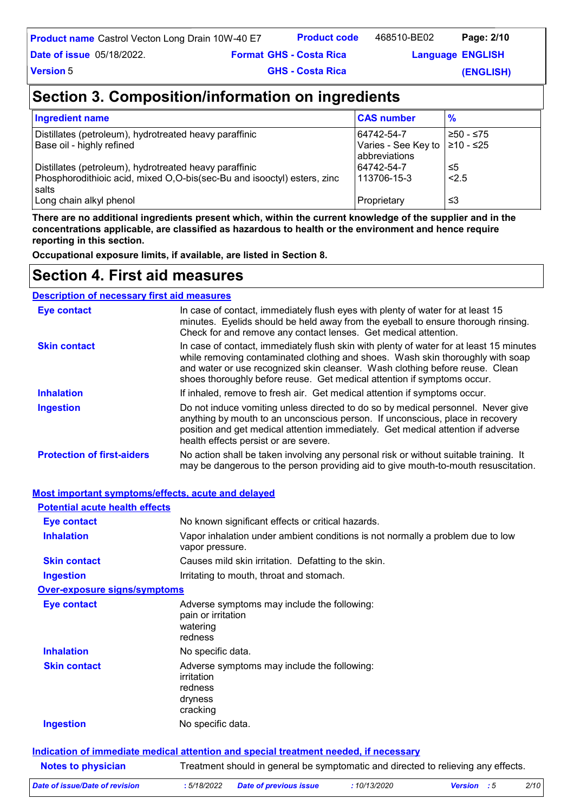| <b>Product name</b> Castrol Vecton Long Drain 10W-40 E7 | <b>Product code</b> | 468510-BE02 | Page: 2/10 |  |
|---------------------------------------------------------|---------------------|-------------|------------|--|
|---------------------------------------------------------|---------------------|-------------|------------|--|

**Date of issue** 05/18/2022.

**Format Language GHS - Costa Rica** 

**Language ENGLISH** 

**Version** 5

**GHS - Costa Rica** 

**(ENGLISH)**

### **Section 3. Composition/information on ingredients**

| <b>Ingredient name</b>                                                           | <b>CAS number</b>                    | $\frac{9}{6}$ |
|----------------------------------------------------------------------------------|--------------------------------------|---------------|
| Distillates (petroleum), hydrotreated heavy paraffinic                           | 64742-54-7                           | ≥50 - ≤75     |
| Base oil - highly refined                                                        | Varies - See Key to<br>abbreviations | 1≥10 - ≤25    |
| Distillates (petroleum), hydrotreated heavy paraffinic                           | 64742-54-7                           | ≤5            |
| Phosphorodithioic acid, mixed O,O-bis(sec-Bu and isooctyl) esters, zinc<br>salts | 113706-15-3                          | 2.5           |
| Long chain alkyl phenol                                                          | Proprietary                          | ≤3            |

**There are no additional ingredients present which, within the current knowledge of the supplier and in the concentrations applicable, are classified as hazardous to health or the environment and hence require reporting in this section.**

**Occupational exposure limits, if available, are listed in Section 8.**

### **Section 4. First aid measures**

**Description of necessary first aid measures**

| <b>Eye contact</b>                | In case of contact, immediately flush eyes with plenty of water for at least 15<br>minutes. Eyelids should be held away from the eyeball to ensure thorough rinsing.<br>Check for and remove any contact lenses. Get medical attention.                                                                                              |
|-----------------------------------|--------------------------------------------------------------------------------------------------------------------------------------------------------------------------------------------------------------------------------------------------------------------------------------------------------------------------------------|
| <b>Skin contact</b>               | In case of contact, immediately flush skin with plenty of water for at least 15 minutes<br>while removing contaminated clothing and shoes. Wash skin thoroughly with soap<br>and water or use recognized skin cleanser. Wash clothing before reuse. Clean<br>shoes thoroughly before reuse. Get medical attention if symptoms occur. |
| <b>Inhalation</b>                 | If inhaled, remove to fresh air. Get medical attention if symptoms occur.                                                                                                                                                                                                                                                            |
| <b>Ingestion</b>                  | Do not induce vomiting unless directed to do so by medical personnel. Never give<br>anything by mouth to an unconscious person. If unconscious, place in recovery<br>position and get medical attention immediately. Get medical attention if adverse<br>health effects persist or are severe.                                       |
| <b>Protection of first-aiders</b> | No action shall be taken involving any personal risk or without suitable training. It<br>may be dangerous to the person providing aid to give mouth-to-mouth resuscitation.                                                                                                                                                          |

#### **Most important symptoms/effects, acute and delayed**

| <b>Potential acute health effects</b> |                                                                                                   |
|---------------------------------------|---------------------------------------------------------------------------------------------------|
| <b>Eye contact</b>                    | No known significant effects or critical hazards.                                                 |
| <b>Inhalation</b>                     | Vapor inhalation under ambient conditions is not normally a problem due to low<br>vapor pressure. |
| <b>Skin contact</b>                   | Causes mild skin irritation. Defatting to the skin.                                               |
| Ingestion                             | Irritating to mouth, throat and stomach.                                                          |
| <b>Over-exposure signs/symptoms</b>   |                                                                                                   |
| <b>Eye contact</b>                    | Adverse symptoms may include the following:<br>pain or irritation<br>watering<br>redness          |
| <b>Inhalation</b>                     | No specific data.                                                                                 |
| <b>Skin contact</b>                   | Adverse symptoms may include the following:<br>irritation<br>redness<br>dryness<br>cracking       |
| <b>Ingestion</b>                      | No specific data.                                                                                 |

|                           | Indication of immediate medical attention and special treatment needed, if necessary |
|---------------------------|--------------------------------------------------------------------------------------|
| <b>Notes to physician</b> | Treatment should in general be symptomatic and directed to relieving any effects.    |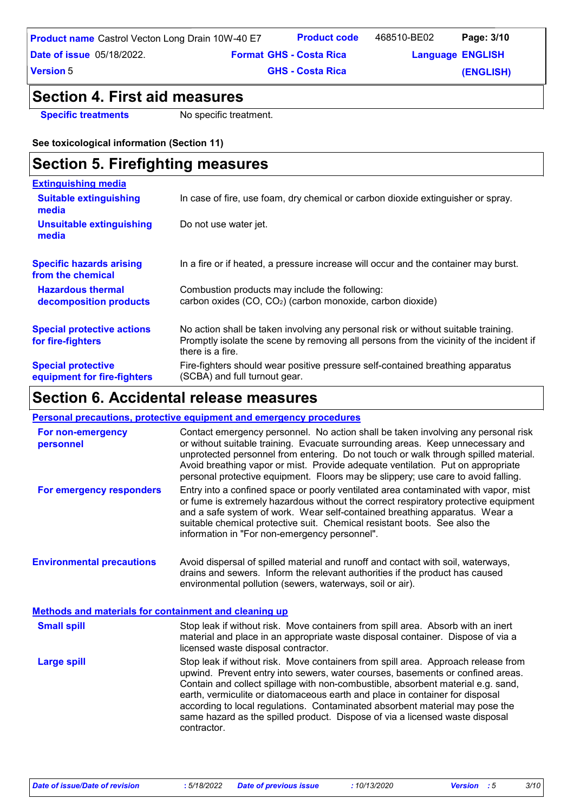#### **GHS - Costa Rica**

**(ENGLISH)**

### **Section 4. First aid measures**

**Specific treatments** No specific treatment.

#### **See toxicological information (Section 11)**

| <b>Section 5. Firefighting measures</b>                  |                                                                                                                                                                                                   |  |  |
|----------------------------------------------------------|---------------------------------------------------------------------------------------------------------------------------------------------------------------------------------------------------|--|--|
| <b>Extinguishing media</b>                               |                                                                                                                                                                                                   |  |  |
| <b>Suitable extinguishing</b><br>media                   | In case of fire, use foam, dry chemical or carbon dioxide extinguisher or spray.                                                                                                                  |  |  |
| Unsuitable extinguishing<br>media                        | Do not use water jet.                                                                                                                                                                             |  |  |
| <b>Specific hazards arising</b><br>from the chemical     | In a fire or if heated, a pressure increase will occur and the container may burst.                                                                                                               |  |  |
| <b>Hazardous thermal</b>                                 | Combustion products may include the following:                                                                                                                                                    |  |  |
| decomposition products                                   | carbon oxides (CO, CO <sub>2</sub> ) (carbon monoxide, carbon dioxide)                                                                                                                            |  |  |
| <b>Special protective actions</b><br>for fire-fighters   | No action shall be taken involving any personal risk or without suitable training.<br>Promptly isolate the scene by removing all persons from the vicinity of the incident if<br>there is a fire. |  |  |
| <b>Special protective</b><br>equipment for fire-fighters | Fire-fighters should wear positive pressure self-contained breathing apparatus<br>(SCBA) and full turnout gear.                                                                                   |  |  |

### **Section 6. Accidental release measures**

#### **Personal precautions, protective equipment and emergency procedures**

| For non-emergency<br>personnel                               | Contact emergency personnel. No action shall be taken involving any personal risk<br>or without suitable training. Evacuate surrounding areas. Keep unnecessary and<br>unprotected personnel from entering. Do not touch or walk through spilled material.<br>Avoid breathing vapor or mist. Provide adequate ventilation. Put on appropriate<br>personal protective equipment. Floors may be slippery; use care to avoid falling.                                                                                     |
|--------------------------------------------------------------|------------------------------------------------------------------------------------------------------------------------------------------------------------------------------------------------------------------------------------------------------------------------------------------------------------------------------------------------------------------------------------------------------------------------------------------------------------------------------------------------------------------------|
| For emergency responders                                     | Entry into a confined space or poorly ventilated area contaminated with vapor, mist<br>or fume is extremely hazardous without the correct respiratory protective equipment<br>and a safe system of work. Wear self-contained breathing apparatus. Wear a<br>suitable chemical protective suit. Chemical resistant boots. See also the<br>information in "For non-emergency personnel".                                                                                                                                 |
| <b>Environmental precautions</b>                             | Avoid dispersal of spilled material and runoff and contact with soil, waterways,<br>drains and sewers. Inform the relevant authorities if the product has caused<br>environmental pollution (sewers, waterways, soil or air).                                                                                                                                                                                                                                                                                          |
| <b>Methods and materials for containment and cleaning up</b> |                                                                                                                                                                                                                                                                                                                                                                                                                                                                                                                        |
| <b>Small spill</b>                                           | Stop leak if without risk. Move containers from spill area. Absorb with an inert<br>material and place in an appropriate waste disposal container. Dispose of via a<br>licensed waste disposal contractor.                                                                                                                                                                                                                                                                                                             |
| <b>Large spill</b>                                           | Stop leak if without risk. Move containers from spill area. Approach release from<br>upwind. Prevent entry into sewers, water courses, basements or confined areas.<br>Contain and collect spillage with non-combustible, absorbent material e.g. sand,<br>earth, vermiculite or diatomaceous earth and place in container for disposal<br>according to local regulations. Contaminated absorbent material may pose the<br>same hazard as the spilled product. Dispose of via a licensed waste disposal<br>contractor. |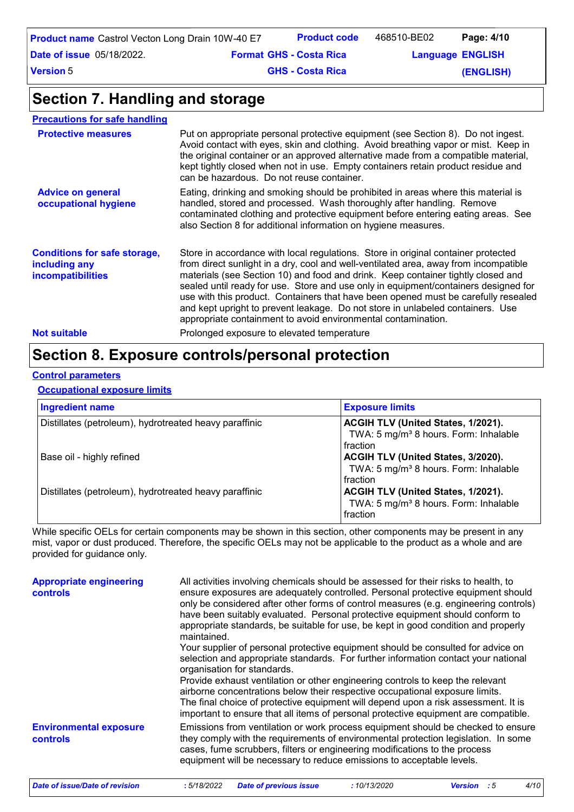| <b>Product name</b> Castrol Vecton Long Drain 10W-40 E7 |                                | <b>Product code</b>     | 468510-BE02             | Page: 4/10 |  |
|---------------------------------------------------------|--------------------------------|-------------------------|-------------------------|------------|--|
| <b>Date of issue</b> 05/18/2022.                        | <b>Format GHS - Costa Rica</b> |                         | <b>Language ENGLISH</b> |            |  |
| Version 5                                               |                                | <b>GHS - Costa Rica</b> |                         | (ENGLISH)  |  |

### **Section 7. Handling and storage**

| <b>Precautions for safe handling</b>                                      |                                                                                                                                                                                                                                                                                                                                                                                                                                                                                                                                                                                               |
|---------------------------------------------------------------------------|-----------------------------------------------------------------------------------------------------------------------------------------------------------------------------------------------------------------------------------------------------------------------------------------------------------------------------------------------------------------------------------------------------------------------------------------------------------------------------------------------------------------------------------------------------------------------------------------------|
| <b>Protective measures</b>                                                | Put on appropriate personal protective equipment (see Section 8). Do not ingest.<br>Avoid contact with eyes, skin and clothing. Avoid breathing vapor or mist. Keep in<br>the original container or an approved alternative made from a compatible material,<br>kept tightly closed when not in use. Empty containers retain product residue and<br>can be hazardous. Do not reuse container.                                                                                                                                                                                                 |
| <b>Advice on general</b><br>occupational hygiene                          | Eating, drinking and smoking should be prohibited in areas where this material is<br>handled, stored and processed. Wash thoroughly after handling. Remove<br>contaminated clothing and protective equipment before entering eating areas. See<br>also Section 8 for additional information on hygiene measures.                                                                                                                                                                                                                                                                              |
| <b>Conditions for safe storage,</b><br>including any<br>incompatibilities | Store in accordance with local regulations. Store in original container protected<br>from direct sunlight in a dry, cool and well-ventilated area, away from incompatible<br>materials (see Section 10) and food and drink. Keep container tightly closed and<br>sealed until ready for use. Store and use only in equipment/containers designed for<br>use with this product. Containers that have been opened must be carefully resealed<br>and kept upright to prevent leakage. Do not store in unlabeled containers. Use<br>appropriate containment to avoid environmental contamination. |
| <b>Not suitable</b>                                                       | Prolonged exposure to elevated temperature                                                                                                                                                                                                                                                                                                                                                                                                                                                                                                                                                    |

### **Section 8. Exposure controls/personal protection**

#### **Control parameters**

#### **Occupational exposure limits**

| <b>Ingredient name</b>                                 | <b>Exposure limits</b>                                                                              |
|--------------------------------------------------------|-----------------------------------------------------------------------------------------------------|
| Distillates (petroleum), hydrotreated heavy paraffinic | ACGIH TLV (United States, 1/2021).<br>TWA: 5 mg/m <sup>3</sup> 8 hours. Form: Inhalable<br>fraction |
| Base oil - highly refined                              | ACGIH TLV (United States, 3/2020).<br>TWA: 5 mg/m <sup>3</sup> 8 hours. Form: Inhalable<br>fraction |
| Distillates (petroleum), hydrotreated heavy paraffinic | ACGIH TLV (United States, 1/2021).<br>TWA: 5 mg/m <sup>3</sup> 8 hours. Form: Inhalable<br>fraction |

While specific OELs for certain components may be shown in this section, other components may be present in any mist, vapor or dust produced. Therefore, the specific OELs may not be applicable to the product as a whole and are provided for guidance only.

| <b>Appropriate engineering</b><br><b>controls</b> | All activities involving chemicals should be assessed for their risks to health, to<br>ensure exposures are adequately controlled. Personal protective equipment should<br>only be considered after other forms of control measures (e.g. engineering controls)<br>have been suitably evaluated. Personal protective equipment should conform to<br>appropriate standards, be suitable for use, be kept in good condition and properly<br>maintained.<br>Your supplier of personal protective equipment should be consulted for advice on<br>selection and appropriate standards. For further information contact your national<br>organisation for standards.<br>Provide exhaust ventilation or other engineering controls to keep the relevant<br>airborne concentrations below their respective occupational exposure limits.<br>The final choice of protective equipment will depend upon a risk assessment. It is<br>important to ensure that all items of personal protective equipment are compatible. |
|---------------------------------------------------|---------------------------------------------------------------------------------------------------------------------------------------------------------------------------------------------------------------------------------------------------------------------------------------------------------------------------------------------------------------------------------------------------------------------------------------------------------------------------------------------------------------------------------------------------------------------------------------------------------------------------------------------------------------------------------------------------------------------------------------------------------------------------------------------------------------------------------------------------------------------------------------------------------------------------------------------------------------------------------------------------------------|
| <b>Environmental exposure</b><br><b>controls</b>  | Emissions from ventilation or work process equipment should be checked to ensure<br>they comply with the requirements of environmental protection legislation. In some<br>cases, fume scrubbers, filters or engineering modifications to the process<br>equipment will be necessary to reduce emissions to acceptable levels.                                                                                                                                                                                                                                                                                                                                                                                                                                                                                                                                                                                                                                                                                 |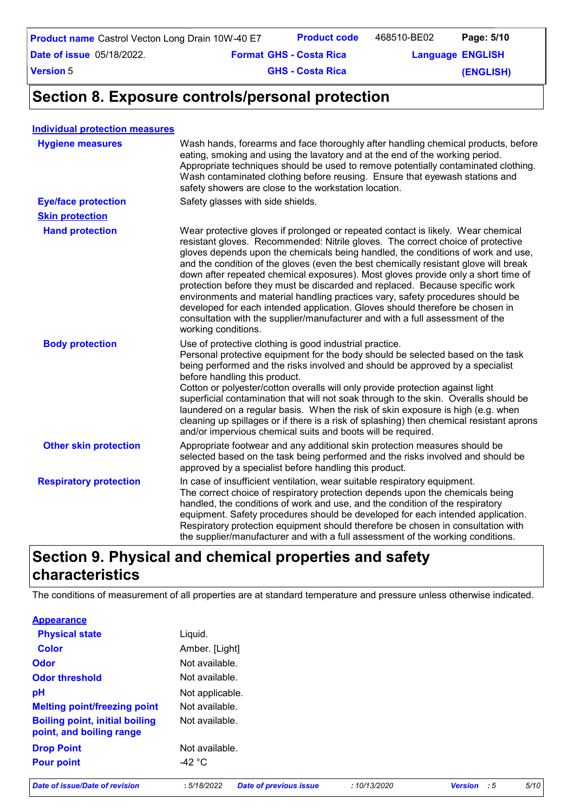| <b>Product name</b> Castrol Vecton Long Drain 10W-40 E7 | <b>Product code</b>            | 468510-BE02             | Page: 5/10 |
|---------------------------------------------------------|--------------------------------|-------------------------|------------|
| <b>Date of issue</b> 05/18/2022.                        | <b>Format GHS - Costa Rica</b> | <b>Language ENGLISH</b> |            |

**Date of issue** 05/18/2022.

**GHS - Costa Rica** 

**(ENGLISH)**

**Section 8. Exposure controls/personal protection**

#### **Individual protection measures**

**Version** 5

| <b>Hygiene measures</b>       | Wash hands, forearms and face thoroughly after handling chemical products, before<br>eating, smoking and using the lavatory and at the end of the working period.<br>Appropriate techniques should be used to remove potentially contaminated clothing.<br>Wash contaminated clothing before reusing. Ensure that eyewash stations and<br>safety showers are close to the workstation location.                                                                                                                                                                                                                                                                                                                                                                                                 |
|-------------------------------|-------------------------------------------------------------------------------------------------------------------------------------------------------------------------------------------------------------------------------------------------------------------------------------------------------------------------------------------------------------------------------------------------------------------------------------------------------------------------------------------------------------------------------------------------------------------------------------------------------------------------------------------------------------------------------------------------------------------------------------------------------------------------------------------------|
| <b>Eye/face protection</b>    | Safety glasses with side shields.                                                                                                                                                                                                                                                                                                                                                                                                                                                                                                                                                                                                                                                                                                                                                               |
| <b>Skin protection</b>        |                                                                                                                                                                                                                                                                                                                                                                                                                                                                                                                                                                                                                                                                                                                                                                                                 |
| <b>Hand protection</b>        | Wear protective gloves if prolonged or repeated contact is likely. Wear chemical<br>resistant gloves. Recommended: Nitrile gloves. The correct choice of protective<br>gloves depends upon the chemicals being handled, the conditions of work and use,<br>and the condition of the gloves (even the best chemically resistant glove will break<br>down after repeated chemical exposures). Most gloves provide only a short time of<br>protection before they must be discarded and replaced. Because specific work<br>environments and material handling practices vary, safety procedures should be<br>developed for each intended application. Gloves should therefore be chosen in<br>consultation with the supplier/manufacturer and with a full assessment of the<br>working conditions. |
| <b>Body protection</b>        | Use of protective clothing is good industrial practice.<br>Personal protective equipment for the body should be selected based on the task<br>being performed and the risks involved and should be approved by a specialist<br>before handling this product.<br>Cotton or polyester/cotton overalls will only provide protection against light<br>superficial contamination that will not soak through to the skin. Overalls should be<br>laundered on a regular basis. When the risk of skin exposure is high (e.g. when<br>cleaning up spillages or if there is a risk of splashing) then chemical resistant aprons<br>and/or impervious chemical suits and boots will be required.                                                                                                           |
| <b>Other skin protection</b>  | Appropriate footwear and any additional skin protection measures should be<br>selected based on the task being performed and the risks involved and should be<br>approved by a specialist before handling this product.                                                                                                                                                                                                                                                                                                                                                                                                                                                                                                                                                                         |
| <b>Respiratory protection</b> | In case of insufficient ventilation, wear suitable respiratory equipment.<br>The correct choice of respiratory protection depends upon the chemicals being<br>handled, the conditions of work and use, and the condition of the respiratory<br>equipment. Safety procedures should be developed for each intended application.<br>Respiratory protection equipment should therefore be chosen in consultation with<br>the supplier/manufacturer and with a full assessment of the working conditions.                                                                                                                                                                                                                                                                                           |

### **Section 9. Physical and chemical properties and safety characteristics**

The conditions of measurement of all properties are at standard temperature and pressure unless otherwise indicated.

**Appearance**

| <b>Physical state</b>                                             | Liquid.         |
|-------------------------------------------------------------------|-----------------|
| Color                                                             | Amber. [Light]  |
| Odor                                                              | Not available.  |
| <b>Odor threshold</b>                                             | Not available.  |
| рH                                                                | Not applicable. |
| <b>Melting point/freezing point</b>                               | Not available.  |
| <b>Boiling point, initial boiling</b><br>point, and boiling range | Not available.  |
| <b>Drop Point</b>                                                 | Not available.  |
| <b>Pour point</b>                                                 | -42 °C          |

*Date of issue/Date of revision* **:** *5/18/2022 Date of previous issue : 10/13/2020 Version : 5 5/10*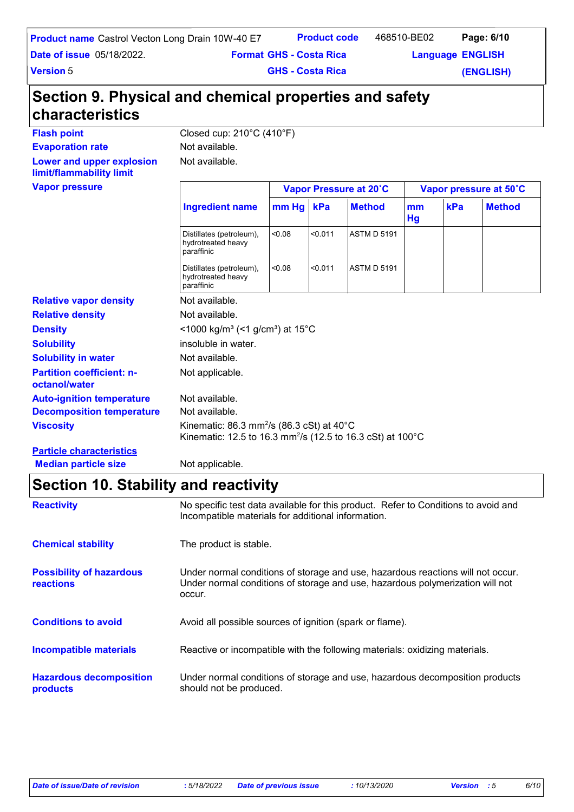| <b>Product name</b> Castrol Vecton Long Drain 10W-40 E7 |                                | <b>Product code</b> | 468510-BE02             | Page: 6/10 |
|---------------------------------------------------------|--------------------------------|---------------------|-------------------------|------------|
| <b>Date of issue 05/18/2022.</b>                        | <b>Format GHS - Costa Rica</b> |                     | <b>Language ENGLISH</b> |            |
|                                                         |                                |                     |                         |            |

**Version** 5

**GHS - Costa Rica** 

**(ENGLISH)**

## **Section 9. Physical and chemical properties and safety characteristics**

Not available.

Flash point<br>
Closed cup: 210°C (410°F)

**Evaporation rate** Not available.

**Lower and upper explosion limit/flammability limit**

**Vapor pressure**

| Vapor pressure                                    |                                                                                                                                             | Vapor Pressure at 20°C                                  |         |                    |          | Vapor pressure at 50°C |               |  |
|---------------------------------------------------|---------------------------------------------------------------------------------------------------------------------------------------------|---------------------------------------------------------|---------|--------------------|----------|------------------------|---------------|--|
|                                                   | <b>Ingredient name</b>                                                                                                                      | mm Hg kPa                                               |         | <b>Method</b>      | mm<br>Hg | kPa                    | <b>Method</b> |  |
|                                                   | Distillates (petroleum),<br>hydrotreated heavy<br>paraffinic                                                                                | 0.08                                                    | < 0.011 | <b>ASTM D 5191</b> |          |                        |               |  |
|                                                   | Distillates (petroleum),<br>hydrotreated heavy<br>paraffinic                                                                                | < 0.08                                                  | < 0.011 | <b>ASTM D 5191</b> |          |                        |               |  |
| <b>Relative vapor density</b>                     | Not available.                                                                                                                              |                                                         |         |                    |          |                        |               |  |
| <b>Relative density</b>                           | Not available.                                                                                                                              |                                                         |         |                    |          |                        |               |  |
| <b>Density</b>                                    |                                                                                                                                             | <1000 kg/m <sup>3</sup> (<1 g/cm <sup>3</sup> ) at 15°C |         |                    |          |                        |               |  |
| <b>Solubility</b>                                 | insoluble in water.                                                                                                                         |                                                         |         |                    |          |                        |               |  |
| <b>Solubility in water</b>                        | Not available.                                                                                                                              |                                                         |         |                    |          |                        |               |  |
| <b>Partition coefficient: n-</b><br>octanol/water | Not applicable.                                                                                                                             |                                                         |         |                    |          |                        |               |  |
| <b>Auto-ignition temperature</b>                  | Not available.                                                                                                                              |                                                         |         |                    |          |                        |               |  |
| <b>Decomposition temperature</b>                  | Not available.                                                                                                                              |                                                         |         |                    |          |                        |               |  |
| <b>Viscosity</b>                                  | Kinematic: 86.3 mm <sup>2</sup> /s (86.3 cSt) at 40 $^{\circ}$ C<br>Kinematic: 12.5 to 16.3 mm <sup>2</sup> /s (12.5 to 16.3 cSt) at 100 °C |                                                         |         |                    |          |                        |               |  |
| <b>Particle characteristics</b>                   |                                                                                                                                             |                                                         |         |                    |          |                        |               |  |

**Median particle size** Not applicable.

### **Section 10. Stability and reactivity**

| <b>Reactivity</b>                                   | No specific test data available for this product. Refer to Conditions to avoid and<br>Incompatible materials for additional information.                                   |
|-----------------------------------------------------|----------------------------------------------------------------------------------------------------------------------------------------------------------------------------|
| <b>Chemical stability</b>                           | The product is stable.                                                                                                                                                     |
| <b>Possibility of hazardous</b><br><b>reactions</b> | Under normal conditions of storage and use, hazardous reactions will not occur.<br>Under normal conditions of storage and use, hazardous polymerization will not<br>occur. |
| <b>Conditions to avoid</b>                          | Avoid all possible sources of ignition (spark or flame).                                                                                                                   |
| Incompatible materials                              | Reactive or incompatible with the following materials: oxidizing materials.                                                                                                |
| <b>Hazardous decomposition</b><br>products          | Under normal conditions of storage and use, hazardous decomposition products<br>should not be produced.                                                                    |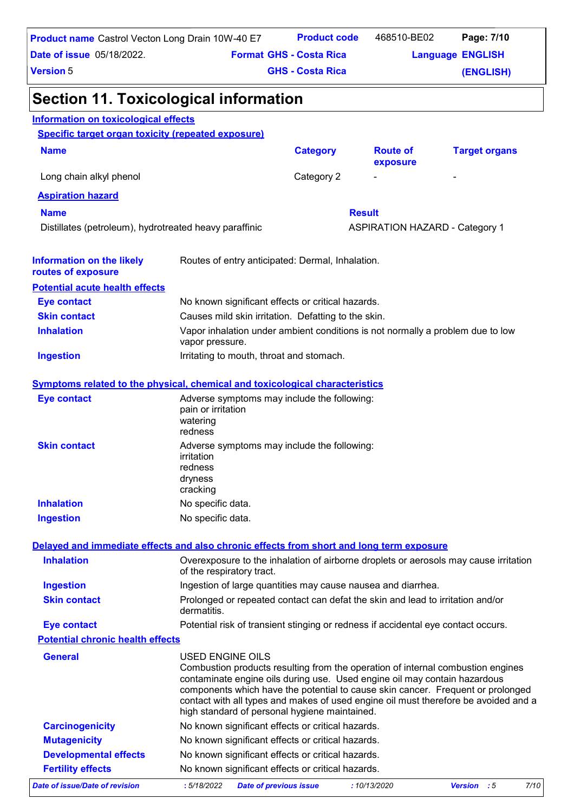| <b>Product name</b> Castrol Vecton Long Drain 10W-40 E7                                  |                                                                                                                                                                                                                                                                                                                                                                                                             | <b>Product code</b>                                                            | 468510-BE02                           | Page: 7/10              |  |  |
|------------------------------------------------------------------------------------------|-------------------------------------------------------------------------------------------------------------------------------------------------------------------------------------------------------------------------------------------------------------------------------------------------------------------------------------------------------------------------------------------------------------|--------------------------------------------------------------------------------|---------------------------------------|-------------------------|--|--|
| <b>Date of issue 05/18/2022.</b>                                                         |                                                                                                                                                                                                                                                                                                                                                                                                             | <b>Format GHS - Costa Rica</b>                                                 |                                       | <b>Language ENGLISH</b> |  |  |
| <b>Version 5</b>                                                                         |                                                                                                                                                                                                                                                                                                                                                                                                             | <b>GHS - Costa Rica</b>                                                        |                                       | (ENGLISH)               |  |  |
| <b>Section 11. Toxicological information</b>                                             |                                                                                                                                                                                                                                                                                                                                                                                                             |                                                                                |                                       |                         |  |  |
| <b>Information on toxicological effects</b>                                              |                                                                                                                                                                                                                                                                                                                                                                                                             |                                                                                |                                       |                         |  |  |
| <b>Specific target organ toxicity (repeated exposure)</b>                                |                                                                                                                                                                                                                                                                                                                                                                                                             |                                                                                |                                       |                         |  |  |
| <b>Name</b>                                                                              |                                                                                                                                                                                                                                                                                                                                                                                                             | <b>Category</b>                                                                | <b>Route of</b><br>exposure           | <b>Target organs</b>    |  |  |
| Long chain alkyl phenol                                                                  |                                                                                                                                                                                                                                                                                                                                                                                                             | Category 2                                                                     |                                       |                         |  |  |
| <b>Aspiration hazard</b>                                                                 |                                                                                                                                                                                                                                                                                                                                                                                                             |                                                                                |                                       |                         |  |  |
| <b>Name</b>                                                                              |                                                                                                                                                                                                                                                                                                                                                                                                             |                                                                                | <b>Result</b>                         |                         |  |  |
| Distillates (petroleum), hydrotreated heavy paraffinic                                   |                                                                                                                                                                                                                                                                                                                                                                                                             |                                                                                | <b>ASPIRATION HAZARD - Category 1</b> |                         |  |  |
| <b>Information on the likely</b><br>routes of exposure                                   | Routes of entry anticipated: Dermal, Inhalation.                                                                                                                                                                                                                                                                                                                                                            |                                                                                |                                       |                         |  |  |
| <b>Potential acute health effects</b>                                                    |                                                                                                                                                                                                                                                                                                                                                                                                             |                                                                                |                                       |                         |  |  |
| <b>Eye contact</b>                                                                       | No known significant effects or critical hazards.                                                                                                                                                                                                                                                                                                                                                           |                                                                                |                                       |                         |  |  |
| <b>Skin contact</b>                                                                      |                                                                                                                                                                                                                                                                                                                                                                                                             | Causes mild skin irritation. Defatting to the skin.                            |                                       |                         |  |  |
| <b>Inhalation</b>                                                                        | vapor pressure.                                                                                                                                                                                                                                                                                                                                                                                             | Vapor inhalation under ambient conditions is not normally a problem due to low |                                       |                         |  |  |
| <b>Ingestion</b>                                                                         | Irritating to mouth, throat and stomach.                                                                                                                                                                                                                                                                                                                                                                    |                                                                                |                                       |                         |  |  |
| <b>Symptoms related to the physical, chemical and toxicological characteristics</b>      |                                                                                                                                                                                                                                                                                                                                                                                                             |                                                                                |                                       |                         |  |  |
| <b>Eye contact</b>                                                                       | Adverse symptoms may include the following:                                                                                                                                                                                                                                                                                                                                                                 |                                                                                |                                       |                         |  |  |
|                                                                                          | pain or irritation<br>watering<br>redness                                                                                                                                                                                                                                                                                                                                                                   |                                                                                |                                       |                         |  |  |
| <b>Skin contact</b>                                                                      | Adverse symptoms may include the following:                                                                                                                                                                                                                                                                                                                                                                 |                                                                                |                                       |                         |  |  |
|                                                                                          | irritation                                                                                                                                                                                                                                                                                                                                                                                                  |                                                                                |                                       |                         |  |  |
|                                                                                          | redness<br>dryness                                                                                                                                                                                                                                                                                                                                                                                          |                                                                                |                                       |                         |  |  |
|                                                                                          | cracking                                                                                                                                                                                                                                                                                                                                                                                                    |                                                                                |                                       |                         |  |  |
| <b>Inhalation</b>                                                                        | No specific data.                                                                                                                                                                                                                                                                                                                                                                                           |                                                                                |                                       |                         |  |  |
| <b>Ingestion</b>                                                                         | No specific data.                                                                                                                                                                                                                                                                                                                                                                                           |                                                                                |                                       |                         |  |  |
| Delayed and immediate effects and also chronic effects from short and long term exposure |                                                                                                                                                                                                                                                                                                                                                                                                             |                                                                                |                                       |                         |  |  |
| <b>Inhalation</b>                                                                        | Overexposure to the inhalation of airborne droplets or aerosols may cause irritation<br>of the respiratory tract.                                                                                                                                                                                                                                                                                           |                                                                                |                                       |                         |  |  |
| <b>Ingestion</b>                                                                         | Ingestion of large quantities may cause nausea and diarrhea.                                                                                                                                                                                                                                                                                                                                                |                                                                                |                                       |                         |  |  |
| <b>Skin contact</b>                                                                      | Prolonged or repeated contact can defat the skin and lead to irritation and/or<br>dermatitis.                                                                                                                                                                                                                                                                                                               |                                                                                |                                       |                         |  |  |
| <b>Eye contact</b>                                                                       | Potential risk of transient stinging or redness if accidental eye contact occurs.                                                                                                                                                                                                                                                                                                                           |                                                                                |                                       |                         |  |  |
| <b>Potential chronic health effects</b>                                                  |                                                                                                                                                                                                                                                                                                                                                                                                             |                                                                                |                                       |                         |  |  |
| <b>General</b>                                                                           | USED ENGINE OILS<br>Combustion products resulting from the operation of internal combustion engines<br>contaminate engine oils during use. Used engine oil may contain hazardous<br>components which have the potential to cause skin cancer. Frequent or prolonged<br>contact with all types and makes of used engine oil must therefore be avoided and a<br>high standard of personal hygiene maintained. |                                                                                |                                       |                         |  |  |
| <b>Carcinogenicity</b>                                                                   | No known significant effects or critical hazards.                                                                                                                                                                                                                                                                                                                                                           |                                                                                |                                       |                         |  |  |
| <b>Mutagenicity</b>                                                                      | No known significant effects or critical hazards.                                                                                                                                                                                                                                                                                                                                                           |                                                                                |                                       |                         |  |  |
| <b>Developmental effects</b>                                                             | No known significant effects or critical hazards.                                                                                                                                                                                                                                                                                                                                                           |                                                                                |                                       |                         |  |  |
| <b>Fertility effects</b>                                                                 | No known significant effects or critical hazards.                                                                                                                                                                                                                                                                                                                                                           |                                                                                |                                       |                         |  |  |
| <b>Date of issue/Date of revision</b>                                                    | :5/18/2022<br><b>Date of previous issue</b>                                                                                                                                                                                                                                                                                                                                                                 |                                                                                | :10/13/2020                           | 7/10<br>Version : 5     |  |  |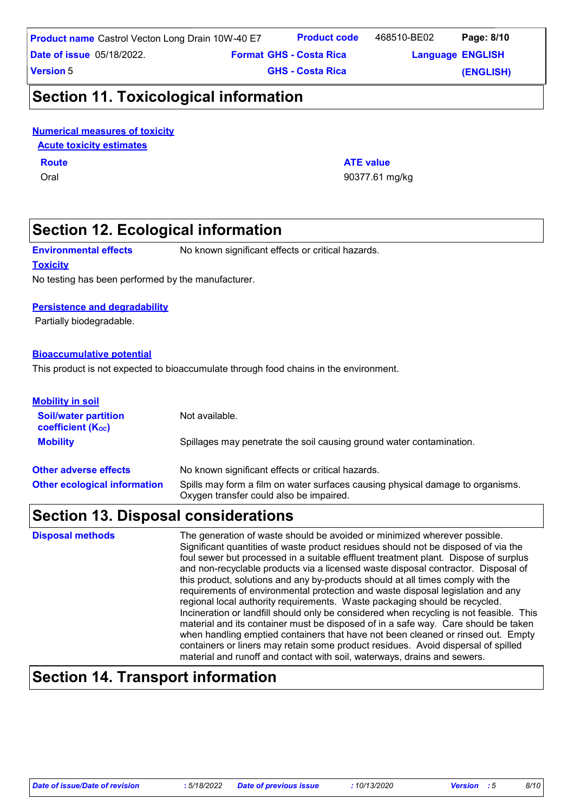**Product code**

468510-BE02 Page: 8/10

**Language ENGLISH Format Language GHS - Costa Rica** 

**Version** 5

**GHS - Costa Rica** 

**(ENGLISH)**

### **Section 11. Toxicological information**

#### **Numerical measures of toxicity**

**Acute toxicity estimates**

### **Route ATE value**

Oral 90377.61 mg/kg

### **Section 12. Ecological information**

**Environmental effects** No known significant effects or critical hazards.

#### **Toxicity**

No testing has been performed by the manufacturer.

#### **Persistence and degradability**

Partially biodegradable.

#### **Bioaccumulative potential**

This product is not expected to bioaccumulate through food chains in the environment.

| <b>Mobility in soil</b>                          |                                                                                                                           |
|--------------------------------------------------|---------------------------------------------------------------------------------------------------------------------------|
| <b>Soil/water partition</b><br>coefficient (Koc) | Not available.                                                                                                            |
| <b>Mobility</b>                                  | Spillages may penetrate the soil causing ground water contamination.                                                      |
| <b>Other adverse effects</b>                     | No known significant effects or critical hazards.                                                                         |
| <b>Other ecological information</b>              | Spills may form a film on water surfaces causing physical damage to organisms.<br>Oxygen transfer could also be impaired. |

### **Section 13. Disposal considerations**

The generation of waste should be avoided or minimized wherever possible. Significant quantities of waste product residues should not be disposed of via the foul sewer but processed in a suitable effluent treatment plant. Dispose of surplus and non-recyclable products via a licensed waste disposal contractor. Disposal of this product, solutions and any by-products should at all times comply with the requirements of environmental protection and waste disposal legislation and any regional local authority requirements. Waste packaging should be recycled. Incineration or landfill should only be considered when recycling is not feasible. This material and its container must be disposed of in a safe way. Care should be taken when handling emptied containers that have not been cleaned or rinsed out. Empty containers or liners may retain some product residues. Avoid dispersal of spilled material and runoff and contact with soil, waterways, drains and sewers. **Disposal methods**

### **Section 14. Transport information**

*Date of issue/Date of revision* **:** *5/18/2022 Date of previous issue : 10/13/2020 Version : 5 8/10*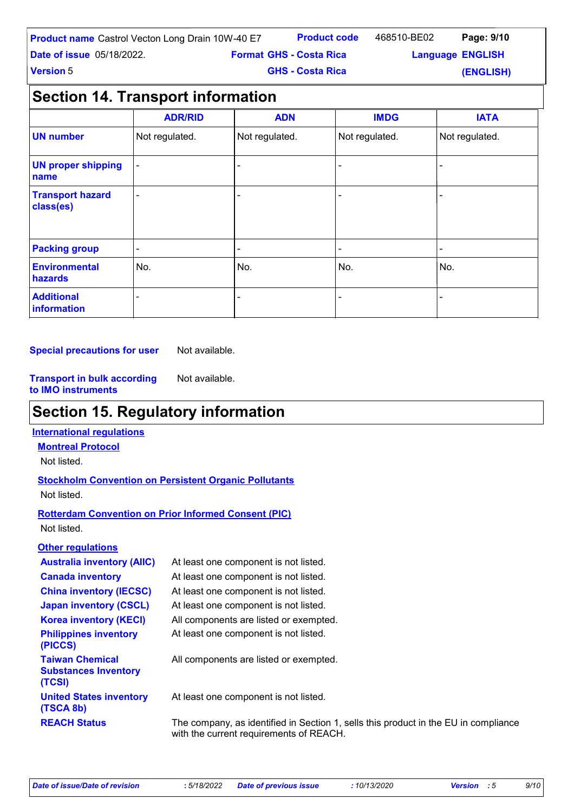| <b>Product name</b> Castrol Vecton Long Drain 10W-40 E7 |                                | <b>Product code</b>     | 468510-BE02             | Page: 9/10 |  |
|---------------------------------------------------------|--------------------------------|-------------------------|-------------------------|------------|--|
| <b>Date of issue 05/18/2022.</b>                        | <b>Format GHS - Costa Rica</b> |                         | <b>Language ENGLISH</b> |            |  |
| <b>Version 5</b>                                        |                                | <b>GHS - Costa Rica</b> |                         | (ENGLISH)  |  |

### **Section 14. Transport information**

|                                      | <b>ADR/RID</b>           | <b>ADN</b>     | <b>IMDG</b>    | <b>IATA</b>    |
|--------------------------------------|--------------------------|----------------|----------------|----------------|
| <b>UN number</b>                     | Not regulated.           | Not regulated. | Not regulated. | Not regulated. |
| <b>UN proper shipping</b><br>name    |                          |                |                |                |
| <b>Transport hazard</b><br>class(es) |                          |                |                |                |
| <b>Packing group</b>                 | $\overline{\phantom{0}}$ | $\equiv$       |                | $\blacksquare$ |
| <b>Environmental</b><br>hazards      | No.                      | No.            | No.            | No.            |
| <b>Additional</b><br>information     |                          |                |                |                |

**Special precautions for user** Not available.

**Transport in bulk according to IMO instruments** Not available.

### **Section 15. Regulatory information**

#### **International regulations**

**Montreal Protocol**

Not listed.

#### **Stockholm Convention on Persistent Organic Pollutants** Not listed.

#### **Rotterdam Convention on Prior Informed Consent (PIC)** Not listed.

#### **Other regulations**

| <b>Australia inventory (AIIC)</b>                               | At least one component is not listed.                                                                                          |
|-----------------------------------------------------------------|--------------------------------------------------------------------------------------------------------------------------------|
| <b>Canada inventory</b>                                         | At least one component is not listed.                                                                                          |
| <b>China inventory (IECSC)</b>                                  | At least one component is not listed.                                                                                          |
| <b>Japan inventory (CSCL)</b>                                   | At least one component is not listed.                                                                                          |
| <b>Korea inventory (KECI)</b>                                   | All components are listed or exempted.                                                                                         |
| <b>Philippines inventory</b><br>(PICCS)                         | At least one component is not listed.                                                                                          |
| <b>Taiwan Chemical</b><br><b>Substances Inventory</b><br>(TCSI) | All components are listed or exempted.                                                                                         |
| <b>United States inventory</b><br>(TSCA 8b)                     | At least one component is not listed.                                                                                          |
| <b>REACH Status</b>                                             | The company, as identified in Section 1, sells this product in the EU in compliance<br>with the current requirements of REACH. |